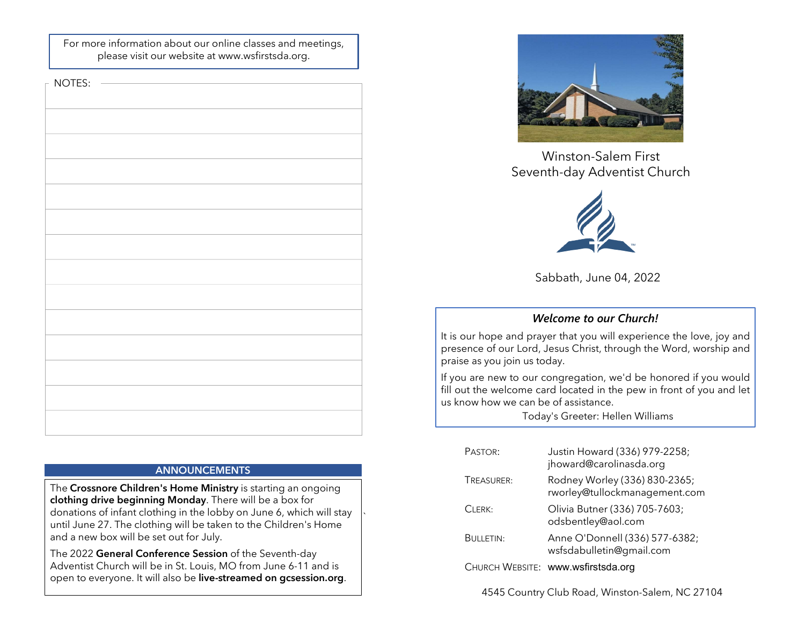For more information about our online classes and meetings, please visit our website at www.wsfirstsda.org.

 $\vdash$  NOTES:

The Crossnore Children's Home Ministry is starting an ongoing clothing drive beginning Monday. There will be a box for donations of infant clothing in the lobby on June 6, which will stay until June 27. The clothing will be taken to the Children's Home and a new box will be set out for July. **Example 12 Server The Crossnore Children's Home Ministry** is starting an ongoing<br>**clothing drive beginning Monday**. There will be a box for<br>donations of infant clothing in the lobby on June 6, which will stay<br>until June 2

`

The 2022 General Conference Session of the Seventh-day Adventist Church will be in St. Louis, MO from June 6-11 and is



Winston-Salem First



Sabbath, June 04, 2022

# Welcome to our Church!

Winston-Salem First<br>Seventh-day Adventist Church<br>Sabbath, June 04, 2022<br>Welcome to our Church!<br>It is our hope and prayer that you will experience the love, joy and<br>praise as you join us today.<br>If you are new to our congreg Winston-Salem First<br>
Seventh-day Adventist Church<br>
Seventh-day Adventist Church<br>
Sabbath, June 04, 2022<br>
Welcome to our Church!<br>
It is our hope and prayer that you will experience the love, joy and<br>
presence of our Lord, J Winston-Salem First<br>
Seventh-day Adventist Church<br>
Sabbath, June 04, 2022<br>
Welcome to our Church!<br>
It is our hope and prayer that you will experience the love, joy and<br>
presence of our Lord, Jesus Christ, through the Word, Winston-Salem First<br>
Seventh-day Adventist Church<br>
Sabbath, June 04, 2022<br>
Welcome to our Church!<br>
It is our hope and prager that you will experience the love, joy and<br>
presence of our Lord, Jesus Christ, through the Word, Winston-Salem First<br>
Seventh-day Adventist Church<br>
Sabbath, June 04, 2022<br>
Welcome to our Church!<br>
It is our hope and prayer that you will experience the love, joy and<br>
praise as you join us tody.<br>
If you are new to our co

|                                  | Sabbath, June 04, 2022                                                                                                           |
|----------------------------------|----------------------------------------------------------------------------------------------------------------------------------|
|                                  | <b>Welcome to our Church!</b>                                                                                                    |
| ise as you join us today.        | our hope and prayer that you will experience the love, joy and<br>sence of our Lord, Jesus Christ, through the Word, worship and |
| now how we can be of assistance. | ou are new to our congregation, we'd be honored if you would<br>but the welcome card located in the pew in front of you and let  |
|                                  | Today's Greeter: Hellen Williams                                                                                                 |
| PASTOR:                          | Justin Howard (336) 979-2258;<br>jhoward@carolinasda.org                                                                         |
| TREASURER:                       | Rodney Worley (336) 830-2365;<br>rworley@tullockmanagement.com                                                                   |
| CLERK:                           | Olivia Butner (336) 705-7603;<br>odsbentley@aol.com                                                                              |
| <b>BULLETIN:</b>                 | Anne O'Donnell (336) 577-6382;<br>wsfsdabulletin@gmail.com                                                                       |
|                                  | CHURCH WEBSITE: www.wsfirstsda.org                                                                                               |